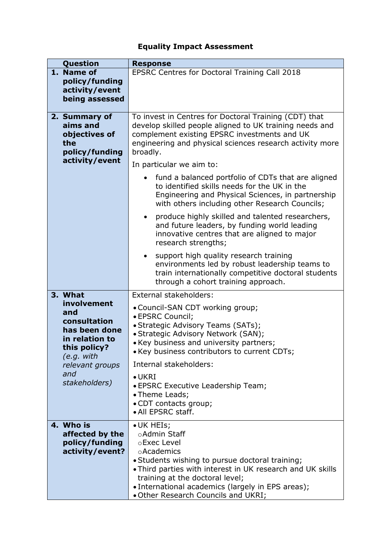## **Equality Impact Assessment**

| Question                                                                              | <b>Response</b>                                                                                                                                                                                                                                                                                         |  |  |  |
|---------------------------------------------------------------------------------------|---------------------------------------------------------------------------------------------------------------------------------------------------------------------------------------------------------------------------------------------------------------------------------------------------------|--|--|--|
| 1. Name of                                                                            | EPSRC Centres for Doctoral Training Call 2018                                                                                                                                                                                                                                                           |  |  |  |
| policy/funding                                                                        |                                                                                                                                                                                                                                                                                                         |  |  |  |
| activity/event                                                                        |                                                                                                                                                                                                                                                                                                         |  |  |  |
| being assessed                                                                        |                                                                                                                                                                                                                                                                                                         |  |  |  |
| 2. Summary of<br>aims and<br>objectives of<br>the<br>policy/funding                   | To invest in Centres for Doctoral Training (CDT) that<br>develop skilled people aligned to UK training needs and<br>complement existing EPSRC investments and UK<br>engineering and physical sciences research activity more<br>broadly.                                                                |  |  |  |
| activity/event                                                                        | In particular we aim to:                                                                                                                                                                                                                                                                                |  |  |  |
|                                                                                       | fund a balanced portfolio of CDTs that are aligned<br>to identified skills needs for the UK in the<br>Engineering and Physical Sciences, in partnership<br>with others including other Research Councils;                                                                                               |  |  |  |
|                                                                                       | produce highly skilled and talented researchers,<br>and future leaders, by funding world leading<br>innovative centres that are aligned to major<br>research strengths;                                                                                                                                 |  |  |  |
|                                                                                       | support high quality research training<br>environments led by robust leadership teams to<br>train internationally competitive doctoral students<br>through a cohort training approach.                                                                                                                  |  |  |  |
| 3. What                                                                               | External stakeholders:                                                                                                                                                                                                                                                                                  |  |  |  |
| involvement<br>and<br>consultation<br>has been done<br>in relation to<br>this policy? | • Council-SAN CDT working group;<br>· EPSRC Council;<br>• Strategic Advisory Teams (SATs);<br>• Strategic Advisory Network (SAN);<br>• Key business and university partners;<br>• Key business contributors to current CDTs;                                                                            |  |  |  |
| (e.g. with<br>relevant groups                                                         | Internal stakeholders:                                                                                                                                                                                                                                                                                  |  |  |  |
| and<br>stakeholders)                                                                  | $\bullet$ UKRI<br>• EPSRC Executive Leadership Team;<br>• Theme Leads;<br>• CDT contacts group;<br>· All EPSRC staff.                                                                                                                                                                                   |  |  |  |
| 4. Who is<br>affected by the<br>policy/funding<br>activity/event?                     | • UK HEIs;<br>○Admin Staff<br>oExec Level<br>oAcademics<br>• Students wishing to pursue doctoral training;<br>• Third parties with interest in UK research and UK skills<br>training at the doctoral level;<br>• International academics (largely in EPS areas);<br>. Other Research Councils and UKRI; |  |  |  |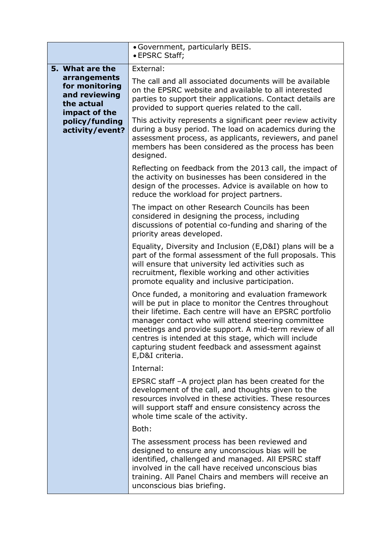|                                                                                | • Government, particularly BEIS.<br>· EPSRC Staff;                                                                                                                                                                                                                                                                                                                                                                         |  |  |
|--------------------------------------------------------------------------------|----------------------------------------------------------------------------------------------------------------------------------------------------------------------------------------------------------------------------------------------------------------------------------------------------------------------------------------------------------------------------------------------------------------------------|--|--|
| 5. What are the                                                                | External:                                                                                                                                                                                                                                                                                                                                                                                                                  |  |  |
| arrangements<br>for monitoring<br>and reviewing<br>the actual<br>impact of the | The call and all associated documents will be available<br>on the EPSRC website and available to all interested<br>parties to support their applications. Contact details are<br>provided to support queries related to the call.                                                                                                                                                                                          |  |  |
| policy/funding<br>activity/event?                                              | This activity represents a significant peer review activity<br>during a busy period. The load on academics during the<br>assessment process, as applicants, reviewers, and panel<br>members has been considered as the process has been<br>designed.                                                                                                                                                                       |  |  |
|                                                                                | Reflecting on feedback from the 2013 call, the impact of<br>the activity on businesses has been considered in the<br>design of the processes. Advice is available on how to<br>reduce the workload for project partners.                                                                                                                                                                                                   |  |  |
|                                                                                | The impact on other Research Councils has been<br>considered in designing the process, including<br>discussions of potential co-funding and sharing of the<br>priority areas developed.                                                                                                                                                                                                                                    |  |  |
|                                                                                | Equality, Diversity and Inclusion (E,D&I) plans will be a<br>part of the formal assessment of the full proposals. This<br>will ensure that university led activities such as<br>recruitment, flexible working and other activities<br>promote equality and inclusive participation.                                                                                                                                        |  |  |
|                                                                                | Once funded, a monitoring and evaluation framework<br>will be put in place to monitor the Centres throughout<br>their lifetime. Each centre will have an EPSRC portfolio<br>manager contact who will attend steering committee<br>meetings and provide support. A mid-term review of all<br>centres is intended at this stage, which will include<br>capturing student feedback and assessment against<br>E, D&I criteria. |  |  |
|                                                                                | Internal:                                                                                                                                                                                                                                                                                                                                                                                                                  |  |  |
|                                                                                | EPSRC staff -A project plan has been created for the<br>development of the call, and thoughts given to the<br>resources involved in these activities. These resources<br>will support staff and ensure consistency across the<br>whole time scale of the activity.                                                                                                                                                         |  |  |
|                                                                                | Both:                                                                                                                                                                                                                                                                                                                                                                                                                      |  |  |
|                                                                                | The assessment process has been reviewed and<br>designed to ensure any unconscious bias will be<br>identified, challenged and managed. All EPSRC staff<br>involved in the call have received unconscious bias<br>training. All Panel Chairs and members will receive an<br>unconscious bias briefing.                                                                                                                      |  |  |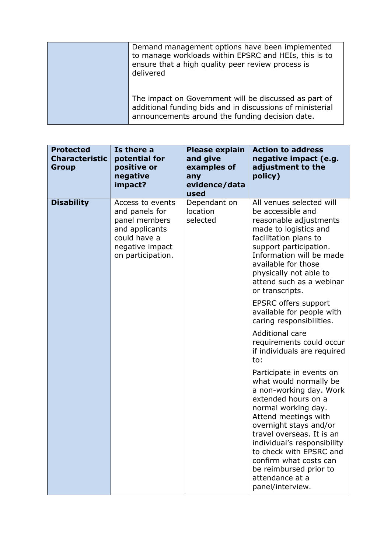| Demand management options have been implemented<br>to manage workloads within EPSRC and HEIs, this is to<br>ensure that a high quality peer review process is<br>delivered |
|----------------------------------------------------------------------------------------------------------------------------------------------------------------------------|
| The impact on Government will be discussed as part of<br>additional funding bids and in discussions of ministerial<br>announcements around the funding decision date.      |

| <b>Protected</b><br><b>Characteristic</b><br><b>Group</b> | Is there a<br>potential for<br>positive or<br>negative<br>impact?                                                             | <b>Please explain</b><br>and give<br>examples of<br>any<br>evidence/data<br>used | <b>Action to address</b><br>negative impact (e.g.<br>adjustment to the<br>policy)                                                                                                                                                                                                                                                                               |
|-----------------------------------------------------------|-------------------------------------------------------------------------------------------------------------------------------|----------------------------------------------------------------------------------|-----------------------------------------------------------------------------------------------------------------------------------------------------------------------------------------------------------------------------------------------------------------------------------------------------------------------------------------------------------------|
| <b>Disability</b>                                         | Access to events<br>and panels for<br>panel members<br>and applicants<br>could have a<br>negative impact<br>on participation. | Dependant on<br>location<br>selected                                             | All venues selected will<br>be accessible and<br>reasonable adjustments<br>made to logistics and<br>facilitation plans to<br>support participation.<br>Information will be made<br>available for those<br>physically not able to<br>attend such as a webinar<br>or transcripts.                                                                                 |
|                                                           |                                                                                                                               |                                                                                  | <b>EPSRC offers support</b><br>available for people with<br>caring responsibilities.                                                                                                                                                                                                                                                                            |
|                                                           |                                                                                                                               |                                                                                  | <b>Additional care</b><br>requirements could occur<br>if individuals are required<br>to:                                                                                                                                                                                                                                                                        |
|                                                           |                                                                                                                               |                                                                                  | Participate in events on<br>what would normally be<br>a non-working day. Work<br>extended hours on a<br>normal working day.<br>Attend meetings with<br>overnight stays and/or<br>travel overseas. It is an<br>individual's responsibility<br>to check with EPSRC and<br>confirm what costs can<br>be reimbursed prior to<br>attendance at a<br>panel/interview. |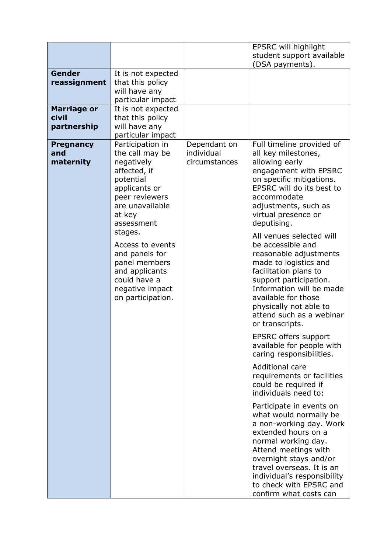|                                            |                                                                                                                                                                                                                                                                                                          |                                             | <b>EPSRC will highlight</b><br>student support available<br>(DSA payments).                                                                                                                                                                                                                                                                                                                                                                                                                                                                                                                                                                                                                                                                                                                                                                                                                                                                                                                              |
|--------------------------------------------|----------------------------------------------------------------------------------------------------------------------------------------------------------------------------------------------------------------------------------------------------------------------------------------------------------|---------------------------------------------|----------------------------------------------------------------------------------------------------------------------------------------------------------------------------------------------------------------------------------------------------------------------------------------------------------------------------------------------------------------------------------------------------------------------------------------------------------------------------------------------------------------------------------------------------------------------------------------------------------------------------------------------------------------------------------------------------------------------------------------------------------------------------------------------------------------------------------------------------------------------------------------------------------------------------------------------------------------------------------------------------------|
| Gender<br>reassignment                     | It is not expected<br>that this policy<br>will have any<br>particular impact                                                                                                                                                                                                                             |                                             |                                                                                                                                                                                                                                                                                                                                                                                                                                                                                                                                                                                                                                                                                                                                                                                                                                                                                                                                                                                                          |
| <b>Marriage or</b><br>civil<br>partnership | It is not expected<br>that this policy<br>will have any<br>particular impact                                                                                                                                                                                                                             |                                             |                                                                                                                                                                                                                                                                                                                                                                                                                                                                                                                                                                                                                                                                                                                                                                                                                                                                                                                                                                                                          |
| <b>Pregnancy</b><br>and<br>maternity       | Participation in<br>the call may be<br>negatively<br>affected, if<br>potential<br>applicants or<br>peer reviewers<br>are unavailable<br>at key<br>assessment<br>stages.<br>Access to events<br>and panels for<br>panel members<br>and applicants<br>could have a<br>negative impact<br>on participation. | Dependant on<br>individual<br>circumstances | Full timeline provided of<br>all key milestones,<br>allowing early<br>engagement with EPSRC<br>on specific mitigations.<br>EPSRC will do its best to<br>accommodate<br>adjustments, such as<br>virtual presence or<br>deputising.<br>All venues selected will<br>be accessible and<br>reasonable adjustments<br>made to logistics and<br>facilitation plans to<br>support participation.<br>Information will be made<br>available for those<br>physically not able to<br>attend such as a webinar<br>or transcripts.<br>EPSRC offers support<br>available for people with<br>caring responsibilities.<br>Additional care<br>requirements or facilities<br>could be required if<br>individuals need to:<br>Participate in events on<br>what would normally be<br>a non-working day. Work<br>extended hours on a<br>normal working day.<br>Attend meetings with<br>overnight stays and/or<br>travel overseas. It is an<br>individual's responsibility<br>to check with EPSRC and<br>confirm what costs can |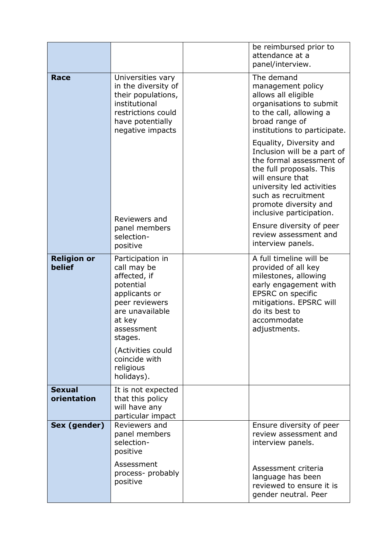|                              |                                                                                                                                                       | be reimbursed prior to<br>attendance at a<br>panel/interview.                                                                                                                                                                               |
|------------------------------|-------------------------------------------------------------------------------------------------------------------------------------------------------|---------------------------------------------------------------------------------------------------------------------------------------------------------------------------------------------------------------------------------------------|
| <b>Race</b>                  | Universities vary<br>in the diversity of<br>their populations,<br>institutional<br>restrictions could<br>have potentially<br>negative impacts         | The demand<br>management policy<br>allows all eligible<br>organisations to submit<br>to the call, allowing a<br>broad range of<br>institutions to participate.                                                                              |
|                              | Reviewers and                                                                                                                                         | Equality, Diversity and<br>Inclusion will be a part of<br>the formal assessment of<br>the full proposals. This<br>will ensure that<br>university led activities<br>such as recruitment<br>promote diversity and<br>inclusive participation. |
|                              | panel members<br>selection-<br>positive                                                                                                               | Ensure diversity of peer<br>review assessment and<br>interview panels.                                                                                                                                                                      |
| <b>Religion or</b><br>belief | Participation in<br>call may be<br>affected, if<br>potential<br>applicants or<br>peer reviewers<br>are unavailable<br>at key<br>assessment<br>stages. | A full timeline will be<br>provided of all key<br>milestones, allowing<br>early engagement with<br>EPSRC on specific<br>mitigations. EPSRC will<br>do its best to<br>accommodate<br>adjustments.                                            |
|                              | (Activities could<br>coincide with<br>religious<br>holidays).                                                                                         |                                                                                                                                                                                                                                             |
| <b>Sexual</b><br>orientation | It is not expected<br>that this policy<br>will have any<br>particular impact                                                                          |                                                                                                                                                                                                                                             |
| Sex (gender)                 | Reviewers and<br>panel members<br>selection-<br>positive                                                                                              | Ensure diversity of peer<br>review assessment and<br>interview panels.                                                                                                                                                                      |
|                              | Assessment<br>process- probably<br>positive                                                                                                           | Assessment criteria<br>language has been<br>reviewed to ensure it is<br>gender neutral. Peer                                                                                                                                                |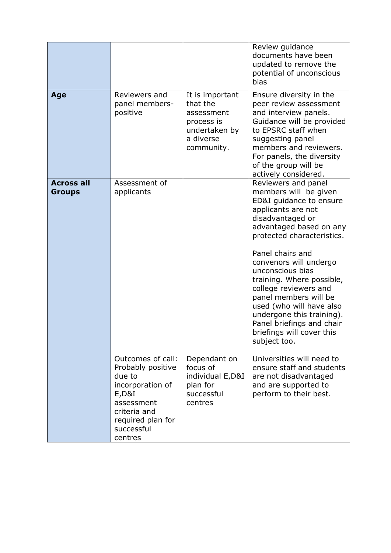|                                    |                                                                                                                                       |                                                                                                     | Review guidance<br>documents have been<br>updated to remove the<br>potential of unconscious<br>bias                                                                                                                                                                                                                                                                                                                                                                                         |
|------------------------------------|---------------------------------------------------------------------------------------------------------------------------------------|-----------------------------------------------------------------------------------------------------|---------------------------------------------------------------------------------------------------------------------------------------------------------------------------------------------------------------------------------------------------------------------------------------------------------------------------------------------------------------------------------------------------------------------------------------------------------------------------------------------|
| Age                                | Reviewers and<br>panel members-<br>positive                                                                                           | It is important<br>that the<br>assessment<br>process is<br>undertaken by<br>a diverse<br>community. | Ensure diversity in the<br>peer review assessment<br>and interview panels.<br>Guidance will be provided<br>to EPSRC staff when<br>suggesting panel<br>members and reviewers.<br>For panels, the diversity<br>of the group will be<br>actively considered.                                                                                                                                                                                                                                   |
| <b>Across all</b><br><b>Groups</b> | Assessment of<br>applicants<br>Outcomes of call:                                                                                      | Dependant on                                                                                        | Reviewers and panel<br>members will be given<br>ED&I guidance to ensure<br>applicants are not<br>disadvantaged or<br>advantaged based on any<br>protected characteristics.<br>Panel chairs and<br>convenors will undergo<br>unconscious bias<br>training. Where possible,<br>college reviewers and<br>panel members will be<br>used (who will have also<br>undergone this training).<br>Panel briefings and chair<br>briefings will cover this<br>subject too.<br>Universities will need to |
|                                    | Probably positive<br>due to<br>incorporation of<br>E, D&I<br>assessment<br>criteria and<br>required plan for<br>successful<br>centres | focus of<br>individual E, D&I<br>plan for<br>successful<br>centres                                  | ensure staff and students<br>are not disadvantaged<br>and are supported to<br>perform to their best.                                                                                                                                                                                                                                                                                                                                                                                        |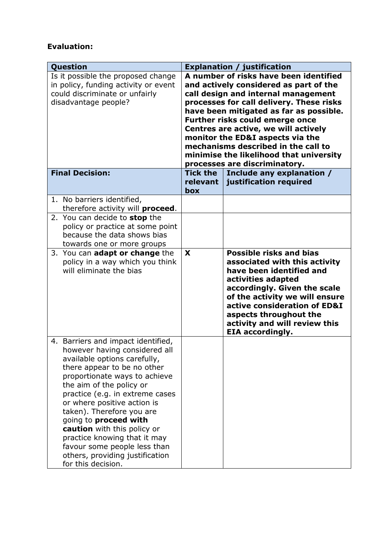## **Evaluation:**

| <b>Question</b>                                                                                                                                                                                                                                                                                                                                                                                                                                                                 |                 | <b>Explanation / justification</b>                                                                                                                                                                                                                                                                                                                                                                                                                                                   |
|---------------------------------------------------------------------------------------------------------------------------------------------------------------------------------------------------------------------------------------------------------------------------------------------------------------------------------------------------------------------------------------------------------------------------------------------------------------------------------|-----------------|--------------------------------------------------------------------------------------------------------------------------------------------------------------------------------------------------------------------------------------------------------------------------------------------------------------------------------------------------------------------------------------------------------------------------------------------------------------------------------------|
| Is it possible the proposed change<br>in policy, funding activity or event<br>could discriminate or unfairly<br>disadvantage people?<br><b>Final Decision:</b>                                                                                                                                                                                                                                                                                                                  | <b>Tick the</b> | A number of risks have been identified<br>and actively considered as part of the<br>call design and internal management<br>processes for call delivery. These risks<br>have been mitigated as far as possible.<br><b>Further risks could emerge once</b><br>Centres are active, we will actively<br>monitor the ED&I aspects via the<br>mechanisms described in the call to<br>minimise the likelihood that university<br>processes are discriminatory.<br>Include any explanation / |
|                                                                                                                                                                                                                                                                                                                                                                                                                                                                                 | relevant<br>box | justification required                                                                                                                                                                                                                                                                                                                                                                                                                                                               |
| 1. No barriers identified,<br>therefore activity will proceed.<br>2. You can decide to stop the<br>policy or practice at some point                                                                                                                                                                                                                                                                                                                                             |                 |                                                                                                                                                                                                                                                                                                                                                                                                                                                                                      |
| because the data shows bias<br>towards one or more groups                                                                                                                                                                                                                                                                                                                                                                                                                       |                 |                                                                                                                                                                                                                                                                                                                                                                                                                                                                                      |
| 3. You can adapt or change the<br>policy in a way which you think<br>will eliminate the bias                                                                                                                                                                                                                                                                                                                                                                                    | X               | <b>Possible risks and bias</b><br>associated with this activity<br>have been identified and<br>activities adapted<br>accordingly. Given the scale<br>of the activity we will ensure<br>active consideration of ED&I<br>aspects throughout the<br>activity and will review this<br><b>EIA accordingly.</b>                                                                                                                                                                            |
| 4. Barriers and impact identified,<br>however having considered all<br>available options carefully,<br>there appear to be no other<br>proportionate ways to achieve<br>the aim of the policy or<br>practice (e.g. in extreme cases<br>or where positive action is<br>taken). Therefore you are<br>going to proceed with<br>caution with this policy or<br>practice knowing that it may<br>favour some people less than<br>others, providing justification<br>for this decision. |                 |                                                                                                                                                                                                                                                                                                                                                                                                                                                                                      |